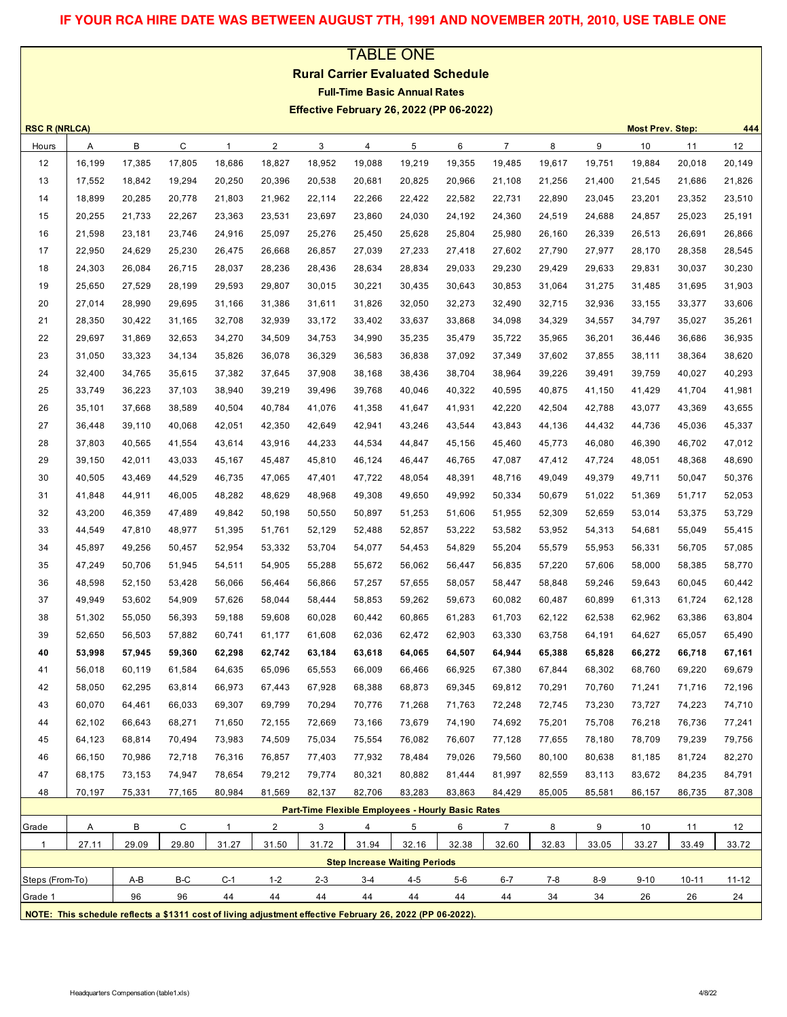# **IF YOUR RCA HIRE DATE WAS BETWEEN AUGUST 7TH, 1991 AND NOVEMBER 20TH, 2010, USE TABLE ONE**

# TABLE ONE **Rural Carrier Evaluated Schedule Full-Time Basic Annual Rates Effective February 26, 2022 (PP 06-2022)**

| <b>RSC R (NRLCA)</b> |              | 444<br><b>Most Prev. Step:</b> |        |                                                                                                           |                |                                                   |                                      |        |        |                |        |        |          |           |        |
|----------------------|--------------|--------------------------------|--------|-----------------------------------------------------------------------------------------------------------|----------------|---------------------------------------------------|--------------------------------------|--------|--------|----------------|--------|--------|----------|-----------|--------|
| Hours                | Α            | B                              | C      | $\mathbf{1}$                                                                                              | $\overline{2}$ | 3                                                 | 4                                    | 5      | 6      | $\overline{7}$ | 8      | 9      | 10       | 11        | 12     |
| 12                   | 16,199       | 17,385                         | 17,805 | 18,686                                                                                                    | 18,827         | 18,952                                            | 19,088                               | 19,219 | 19,355 | 19,485         | 19,617 | 19,751 | 19,884   | 20,018    | 20,149 |
| 13                   | 17,552       | 18,842                         | 19,294 | 20,250                                                                                                    | 20,396         | 20,538                                            | 20,681                               | 20,825 | 20,966 | 21,108         | 21,256 | 21,400 | 21,545   | 21,686    | 21,826 |
| 14                   | 18,899       | 20,285                         | 20,778 | 21,803                                                                                                    | 21,962         | 22,114                                            | 22,266                               | 22,422 | 22,582 | 22,731         | 22,890 | 23,045 | 23,201   | 23,352    | 23,510 |
| 15                   | 20,255       | 21,733                         | 22,267 | 23,363                                                                                                    | 23,531         | 23,697                                            | 23,860                               | 24,030 | 24,192 | 24,360         | 24,519 | 24,688 | 24,857   | 25,023    | 25,191 |
| 16                   | 21,598       | 23,181                         | 23,746 | 24,916                                                                                                    | 25,097         | 25,276                                            | 25,450                               | 25,628 | 25,804 | 25,980         | 26,160 | 26,339 | 26,513   | 26,691    | 26,866 |
| 17                   | 22,950       | 24,629                         | 25,230 | 26,475                                                                                                    | 26,668         | 26,857                                            | 27,039                               | 27,233 | 27,418 | 27,602         | 27,790 | 27,977 | 28,170   | 28,358    | 28,545 |
| 18                   | 24,303       | 26,084                         | 26,715 | 28,037                                                                                                    | 28,236         | 28,436                                            | 28,634                               | 28,834 | 29,033 | 29,230         | 29,429 | 29,633 | 29,831   | 30,037    | 30,230 |
| 19                   | 25,650       | 27,529                         | 28,199 | 29,593                                                                                                    | 29,807         | 30,015                                            | 30,221                               | 30,435 | 30,643 | 30,853         | 31,064 | 31,275 | 31,485   | 31,695    | 31,903 |
| 20                   | 27,014       | 28,990                         | 29,695 | 31,166                                                                                                    | 31,386         | 31,611                                            | 31,826                               | 32,050 | 32,273 | 32,490         | 32,715 | 32,936 | 33,155   | 33,377    | 33,606 |
| 21                   | 28,350       | 30,422                         | 31,165 | 32,708                                                                                                    | 32,939         | 33,172                                            | 33,402                               | 33,637 | 33,868 | 34,098         | 34,329 | 34,557 | 34,797   | 35,027    | 35,261 |
| 22                   | 29,697       | 31,869                         | 32,653 | 34,270                                                                                                    | 34,509         | 34,753                                            | 34,990                               | 35,235 | 35,479 | 35,722         | 35,965 | 36,201 | 36,446   | 36,686    | 36,935 |
| 23                   | 31,050       | 33,323                         | 34,134 | 35,826                                                                                                    | 36,078         | 36,329                                            | 36,583                               | 36,838 | 37,092 | 37,349         | 37,602 | 37,855 | 38,111   | 38,364    | 38,620 |
| 24                   | 32,400       | 34,765                         | 35,615 | 37,382                                                                                                    | 37,645         | 37,908                                            | 38,168                               | 38,436 | 38,704 | 38,964         | 39,226 | 39,491 | 39,759   | 40,027    | 40,293 |
| 25                   | 33,749       | 36,223                         | 37,103 | 38,940                                                                                                    | 39,219         | 39,496                                            | 39,768                               | 40,046 | 40,322 | 40,595         | 40,875 | 41,150 | 41,429   | 41,704    | 41,981 |
| 26                   | 35,101       | 37,668                         | 38,589 | 40,504                                                                                                    | 40,784         | 41,076                                            | 41,358                               | 41,647 | 41,931 | 42,220         | 42,504 | 42,788 | 43,077   | 43,369    | 43,655 |
| 27                   | 36,448       | 39,110                         | 40,068 | 42,051                                                                                                    | 42,350         | 42,649                                            | 42,941                               | 43,246 | 43,544 | 43,843         | 44,136 | 44,432 | 44,736   | 45,036    | 45,337 |
| 28                   | 37,803       | 40,565                         | 41,554 | 43,614                                                                                                    | 43,916         | 44,233                                            | 44,534                               | 44,847 | 45,156 | 45,460         | 45,773 | 46,080 | 46,390   | 46,702    | 47,012 |
| 29                   | 39,150       | 42,011                         | 43,033 | 45,167                                                                                                    | 45,487         | 45,810                                            | 46,124                               | 46,447 | 46,765 | 47,087         | 47,412 | 47,724 | 48,051   | 48,368    | 48,690 |
| 30                   | 40,505       | 43,469                         | 44,529 | 46,735                                                                                                    | 47,065         | 47,401                                            | 47,722                               | 48,054 | 48,391 | 48,716         | 49,049 | 49,379 | 49,711   | 50,047    | 50,376 |
| 31                   | 41,848       | 44,911                         | 46,005 | 48,282                                                                                                    | 48,629         | 48,968                                            | 49,308                               | 49,650 | 49,992 | 50,334         | 50,679 | 51,022 | 51,369   | 51,717    | 52,053 |
| 32                   | 43,200       | 46,359                         | 47,489 | 49,842                                                                                                    | 50,198         | 50,550                                            | 50,897                               | 51,253 | 51,606 | 51,955         | 52,309 | 52,659 | 53,014   | 53,375    | 53,729 |
| 33                   | 44,549       | 47,810                         | 48,977 | 51,395                                                                                                    | 51,761         | 52,129                                            | 52,488                               | 52,857 | 53,222 | 53,582         | 53,952 | 54,313 | 54,681   | 55,049    | 55,415 |
| 34                   | 45,897       | 49,256                         | 50,457 | 52,954                                                                                                    | 53,332         | 53,704                                            | 54,077                               | 54,453 | 54,829 | 55,204         | 55,579 | 55,953 | 56,331   | 56,705    | 57,085 |
| 35                   | 47,249       | 50,706                         | 51,945 | 54,511                                                                                                    | 54,905         | 55,288                                            | 55,672                               | 56,062 | 56,447 | 56,835         | 57,220 | 57,606 | 58,000   | 58,385    | 58,770 |
| 36                   | 48,598       | 52,150                         | 53,428 | 56,066                                                                                                    | 56,464         | 56,866                                            | 57,257                               | 57,655 | 58,057 | 58,447         | 58,848 | 59,246 | 59,643   | 60,045    | 60,442 |
| 37                   | 49,949       | 53,602                         | 54,909 | 57,626                                                                                                    | 58,044         | 58,444                                            | 58,853                               | 59,262 | 59,673 | 60,082         | 60,487 | 60,899 | 61,313   | 61,724    | 62,128 |
| 38                   | 51,302       | 55,050                         | 56,393 | 59,188                                                                                                    | 59,608         | 60,028                                            | 60,442                               | 60,865 | 61,283 | 61,703         | 62,122 | 62,538 | 62,962   | 63,386    | 63,804 |
| 39                   | 52,650       | 56,503                         | 57,882 | 60,741                                                                                                    | 61,177         | 61,608                                            | 62,036                               | 62,472 | 62,903 | 63,330         | 63,758 | 64,191 | 64,627   | 65,057    | 65,490 |
| 40                   | 53,998       | 57,945                         | 59,360 | 62,298                                                                                                    | 62,742         | 63,184                                            | 63,618                               | 64,065 | 64,507 | 64,944         | 65,388 | 65,828 | 66,272   | 66,718    | 67,161 |
| 41                   | 56,018       | 60,119                         | 61,584 | 64,635                                                                                                    | 65,096         | 65,553                                            | 66,009                               | 66,466 | 66,925 | 67,380         | 67,844 | 68,302 | 68,760   | 69,220    | 69,679 |
| 42                   | 58,050       | 62,295                         | 63,814 | 66,973                                                                                                    | 67,443         | 67,928                                            | 68,388                               | 68,873 | 69,345 | 69,812         | 70,291 | 70,760 | 71,241   | 71,716    | 72,196 |
| 43                   | 60,070       | 64,461                         | 66,033 | 69,307                                                                                                    | 69,799         | 70,294                                            | 70,776                               | 71,268 | 71,763 | 72,248         | 72,745 | 73,230 | 73,727   | 74,223    | 74,710 |
| 44                   | 62,102       | 66,643                         | 68,271 | 71,650                                                                                                    | 72,155         | 72,669                                            | 73,166                               | 73,679 | 74,190 | 74,692         | 75,201 | 75,708 | 76,218   | 76,736    | 77,241 |
| 45                   | 64,123       | 68,814                         | 70,494 | 73,983                                                                                                    | 74,509         | 75,034                                            | 75,554                               | 76,082 | 76,607 | 77,128         | 77,655 | 78,180 | 78,709   | 79,239    | 79,756 |
| 46                   | 66,150       | 70,986                         | 72,718 | 76,316                                                                                                    | 76,857         | 77,403                                            | 77,932                               | 78,484 | 79,026 | 79,560         | 80,100 | 80,638 | 81,185   | 81,724    | 82,270 |
| 47                   | 68,175       | 73,153                         | 74,947 | 78,654                                                                                                    | 79,212         | 79,774                                            | 80,321                               | 80,882 | 81,444 | 81,997         | 82,559 | 83,113 | 83,672   | 84,235    | 84,791 |
| 48                   | 70,197       | 75,331                         | 77,165 | 80,984                                                                                                    | 81,569         | 82,137                                            | 82,706                               | 83,283 | 83,863 | 84,429         | 85,005 | 85,581 | 86,157   | 86,735    | 87,308 |
|                      |              |                                |        |                                                                                                           |                | Part-Time Flexible Employees - Hourly Basic Rates |                                      |        |        |                |        |        |          |           |        |
| Grade                | $\mathsf{A}$ | в                              | C      | $\mathbf{1}$                                                                                              | $\overline{2}$ | 3                                                 | 4                                    | 5      | 6      | $\overline{7}$ | 8      | 9      | 10       | 11        | 12     |
| $\mathbf{1}$         | 27.11        | 29.09                          | 29.80  | 31.27                                                                                                     | 31.50          | 31.72                                             | 31.94                                | 32.16  | 32.38  | 32.60          | 32.83  | 33.05  | 33.27    | 33.49     | 33.72  |
|                      |              |                                |        |                                                                                                           |                |                                                   | <b>Step Increase Waiting Periods</b> |        |        |                |        |        |          |           |        |
| Steps (From-To)      |              | A-B                            | B-C    | $C-1$                                                                                                     | $1 - 2$        | $2 - 3$                                           | 3-4                                  | 4-5    | 5-6    | 6-7            | 7-8    | $8-9$  | $9 - 10$ | $10 - 11$ | 11-12  |
| Grade 1              |              | 96                             | 96     | 44                                                                                                        | 44             | 44                                                | 44                                   | 44     | 44     | 44             | 34     | 34     | 26       | 26        | 24     |
|                      |              |                                |        | NOTE: This schedule reflects a \$1311 cost of living adjustment effective February 26, 2022 (PP 06-2022). |                |                                                   |                                      |        |        |                |        |        |          |           |        |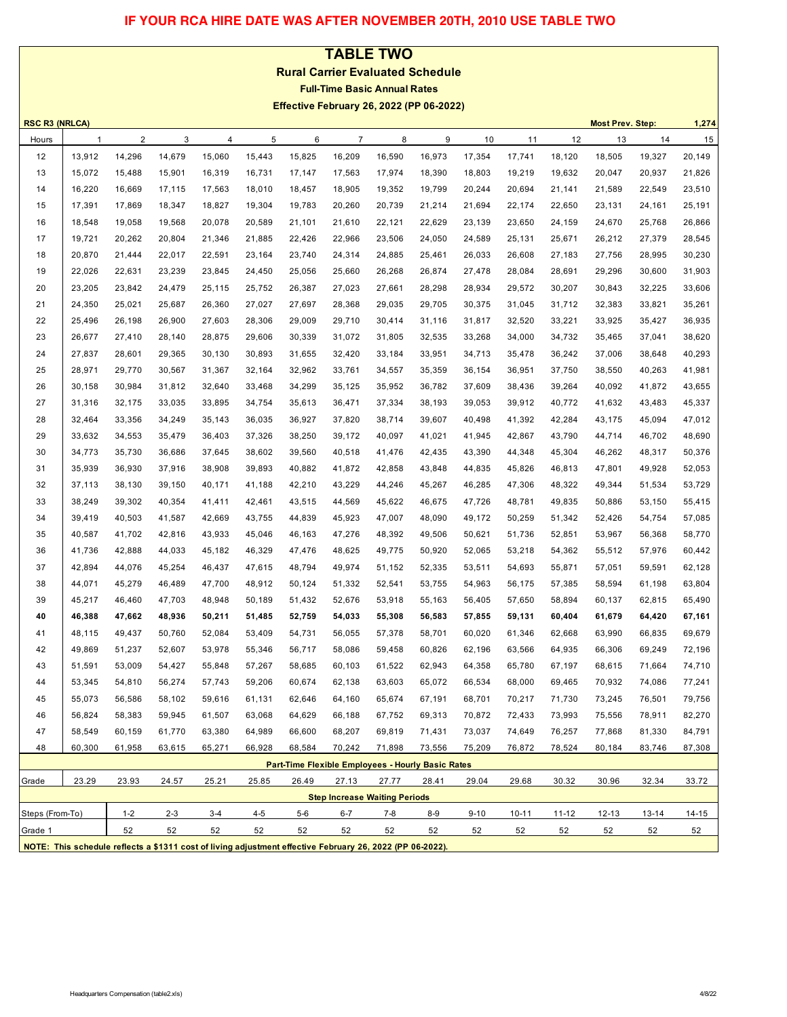# **IF YOUR RCA HIRE DATE WAS AFTER NOVEMBER 20TH, 2010 USE TABLE TWO**

#### **TABLE TWO**

**Rural Carrier Evaluated Schedule**

**Full-Time Basic Annual Rates**

**Effective February 26, 2022 (PP 06-2022)**

|                 | <b>RSC R3 (NRLCA)</b><br><b>Most Prev. Step:</b><br>1,274                                                 |         |         |        |         |                                                   |                |                                      |        |          |           |        |           |        |        |
|-----------------|-----------------------------------------------------------------------------------------------------------|---------|---------|--------|---------|---------------------------------------------------|----------------|--------------------------------------|--------|----------|-----------|--------|-----------|--------|--------|
| Hours           | 1                                                                                                         | 2       | 3       | 4      | 5       | 6                                                 | $\overline{7}$ | 8                                    | 9      | 10       | 11        | 12     | 13        | 14     | 15     |
| 12              | 13,912                                                                                                    | 14,296  | 14,679  | 15,060 | 15,443  | 15,825                                            | 16,209         | 16,590                               | 16,973 | 17,354   | 17,741    | 18,120 | 18,505    | 19,327 | 20,149 |
| 13              | 15,072                                                                                                    | 15,488  | 15,901  | 16,319 | 16,731  | 17,147                                            | 17,563         | 17,974                               | 18,390 | 18,803   | 19,219    | 19,632 | 20,047    | 20,937 | 21,826 |
| 14              | 16,220                                                                                                    | 16,669  | 17,115  | 17,563 | 18,010  | 18,457                                            | 18,905         | 19,352                               | 19,799 | 20,244   | 20,694    | 21,141 | 21,589    | 22,549 | 23,510 |
| 15              | 17,391                                                                                                    | 17,869  | 18,347  | 18,827 | 19,304  | 19,783                                            | 20,260         | 20,739                               | 21,214 | 21,694   | 22,174    | 22,650 | 23,131    | 24,161 | 25,191 |
| 16              | 18,548                                                                                                    | 19,058  | 19,568  | 20,078 | 20,589  | 21,101                                            | 21,610         | 22,121                               | 22,629 | 23,139   | 23,650    | 24,159 | 24,670    | 25,768 | 26,866 |
| 17              | 19,721                                                                                                    | 20,262  | 20,804  | 21,346 | 21,885  | 22,426                                            | 22,966         | 23,506                               | 24,050 | 24,589   | 25,131    | 25,671 | 26,212    | 27,379 | 28,545 |
| 18              | 20,870                                                                                                    | 21,444  | 22,017  | 22,591 | 23,164  | 23,740                                            | 24,314         | 24,885                               | 25,461 | 26,033   | 26,608    | 27,183 | 27,756    | 28,995 | 30,230 |
| 19              | 22,026                                                                                                    | 22,631  | 23,239  | 23,845 | 24,450  | 25,056                                            | 25,660         | 26,268                               | 26,874 | 27,478   | 28,084    | 28,691 | 29,296    | 30,600 | 31,903 |
| 20              | 23,205                                                                                                    | 23,842  | 24,479  | 25,115 | 25,752  | 26,387                                            | 27,023         | 27,661                               | 28,298 | 28,934   | 29,572    | 30,207 | 30,843    | 32,225 | 33,606 |
| 21              | 24,350                                                                                                    | 25,021  | 25,687  | 26,360 | 27,027  | 27,697                                            | 28,368         | 29,035                               | 29,705 | 30,375   | 31,045    | 31,712 | 32,383    | 33,821 | 35,261 |
| 22              | 25,496                                                                                                    | 26,198  | 26,900  | 27,603 | 28,306  | 29,009                                            | 29,710         | 30,414                               | 31,116 | 31,817   | 32,520    | 33,221 | 33,925    | 35,427 | 36,935 |
| 23              | 26,677                                                                                                    | 27,410  | 28,140  | 28,875 | 29,606  | 30,339                                            | 31,072         | 31,805                               | 32,535 | 33,268   | 34,000    | 34,732 | 35,465    | 37,041 | 38,620 |
| 24              | 27,837                                                                                                    | 28,601  | 29,365  | 30,130 | 30,893  | 31,655                                            | 32,420         | 33,184                               | 33,951 | 34,713   | 35,478    | 36,242 | 37,006    | 38,648 | 40,293 |
| 25              | 28,971                                                                                                    | 29,770  | 30,567  | 31,367 | 32,164  | 32,962                                            | 33,761         | 34,557                               | 35,359 | 36,154   | 36,951    | 37,750 | 38,550    | 40,263 | 41,981 |
| 26              | 30,158                                                                                                    | 30,984  | 31,812  | 32,640 | 33,468  | 34,299                                            | 35,125         | 35,952                               | 36,782 | 37,609   | 38,436    | 39,264 | 40,092    | 41,872 | 43,655 |
| 27              | 31,316                                                                                                    | 32,175  | 33,035  | 33,895 | 34,754  | 35,613                                            | 36,471         | 37,334                               | 38,193 | 39,053   | 39,912    | 40,772 | 41,632    | 43,483 | 45,337 |
| 28              | 32,464                                                                                                    | 33,356  | 34,249  | 35,143 | 36,035  | 36,927                                            | 37,820         | 38,714                               | 39,607 | 40,498   | 41,392    | 42,284 | 43,175    | 45,094 | 47,012 |
| 29              | 33,632                                                                                                    | 34,553  | 35,479  | 36,403 | 37,326  | 38,250                                            | 39,172         | 40,097                               | 41,021 | 41,945   | 42,867    | 43,790 | 44,714    | 46,702 | 48,690 |
| 30              | 34,773                                                                                                    | 35,730  | 36,686  | 37,645 | 38,602  | 39,560                                            | 40,518         | 41,476                               | 42,435 | 43,390   | 44,348    | 45,304 | 46,262    | 48,317 | 50,376 |
| 31              | 35,939                                                                                                    | 36,930  | 37,916  | 38,908 | 39,893  | 40,882                                            | 41,872         | 42,858                               | 43,848 | 44,835   | 45,826    | 46,813 | 47,801    | 49,928 | 52,053 |
| 32              | 37,113                                                                                                    | 38,130  | 39,150  | 40,171 | 41,188  | 42,210                                            | 43,229         | 44,246                               | 45,267 | 46,285   | 47,306    | 48,322 | 49,344    | 51,534 | 53,729 |
| 33              | 38,249                                                                                                    | 39,302  | 40,354  | 41,411 | 42,461  | 43,515                                            | 44,569         | 45,622                               | 46,675 | 47,726   | 48,781    | 49,835 | 50,886    | 53,150 | 55,415 |
| 34              | 39,419                                                                                                    | 40,503  | 41,587  | 42,669 | 43,755  | 44,839                                            | 45,923         | 47,007                               | 48,090 | 49,172   | 50,259    | 51,342 | 52,426    | 54,754 | 57,085 |
| 35              | 40,587                                                                                                    | 41,702  | 42,816  | 43,933 | 45,046  | 46,163                                            | 47,276         | 48,392                               | 49,506 | 50,621   | 51,736    | 52,851 | 53,967    | 56,368 | 58,770 |
| 36              | 41,736                                                                                                    | 42,888  | 44,033  | 45,182 | 46,329  | 47,476                                            | 48,625         | 49,775                               | 50,920 | 52,065   | 53,218    | 54,362 | 55,512    | 57,976 | 60,442 |
| 37              | 42,894                                                                                                    | 44,076  | 45,254  | 46,437 | 47,615  | 48,794                                            | 49,974         | 51,152                               | 52,335 | 53,511   | 54,693    | 55,871 | 57,051    | 59,591 | 62,128 |
| 38              | 44,071                                                                                                    | 45,279  | 46,489  | 47,700 | 48,912  | 50,124                                            | 51,332         | 52,541                               | 53,755 | 54,963   | 56,175    | 57,385 | 58,594    | 61,198 | 63,804 |
| 39              | 45,217                                                                                                    | 46,460  | 47,703  | 48,948 | 50,189  | 51,432                                            | 52,676         | 53,918                               | 55,163 | 56,405   | 57,650    | 58,894 | 60,137    | 62,815 | 65,490 |
| 40              | 46,388                                                                                                    | 47,662  | 48,936  | 50,211 | 51,485  | 52,759                                            | 54,033         | 55,308                               | 56,583 | 57,855   | 59,131    | 60,404 | 61,679    | 64,420 | 67,161 |
| 41              | 48,115                                                                                                    | 49,437  | 50,760  | 52,084 | 53,409  | 54,731                                            | 56,055         | 57,378                               | 58,701 | 60,020   | 61,346    | 62,668 | 63,990    | 66,835 | 69,679 |
| 42              | 49,869                                                                                                    | 51,237  | 52,607  | 53,978 | 55,346  | 56,717                                            | 58,086         | 59,458                               | 60,826 | 62,196   | 63,566    | 64,935 | 66,306    | 69,249 | 72,196 |
| 43              | 51,591                                                                                                    | 53,009  | 54,427  | 55,848 | 57,267  | 58,685                                            | 60,103         | 61,522                               | 62,943 | 64,358   | 65,780    | 67,197 | 68,615    | 71,664 | 74,710 |
| 44              | 53,345                                                                                                    | 54,810  | 56,274  | 57,743 | 59,206  | 60,674                                            | 62,138         | 63,603                               | 65,072 | 66,534   | 68,000    | 69,465 | 70,932    | 74,086 | 77,241 |
| 45              | 55,073                                                                                                    | 56,586  | 58,102  | 59,616 | 61,131  | 62,646                                            | 64,160         | 65,674                               | 67,191 | 68,701   | 70,217    | 71,730 | 73,245    | 76,501 | 79,756 |
| 46              | 56,824                                                                                                    | 58,383  | 59,945  | 61,507 | 63,068  | 64,629                                            | 66,188         | 67,752                               | 69,313 | 70,872   | 72,433    | 73,993 | 75,556    | 78,911 | 82,270 |
| 47              | 58,549                                                                                                    | 60,159  | 61,770  | 63,380 | 64,989  | 66,600                                            | 68,207         | 69,819                               | 71,431 | 73,037   | 74,649    | 76,257 | 77,868    | 81,330 | 84,791 |
| 48              | 60,300                                                                                                    | 61,958  | 63,615  | 65,271 | 66,928  | 68,584                                            | 70,242         | 71,898                               | 73,556 | 75,209   | 76,872    | 78,524 | 80,184    | 83,746 | 87,308 |
|                 |                                                                                                           |         |         |        |         | Part-Time Flexible Employees - Hourly Basic Rates |                |                                      |        |          |           |        |           |        |        |
| Grade           | 23.29                                                                                                     | 23.93   | 24.57   | 25.21  | 25.85   | 26.49                                             | 27.13          | 27.77                                | 28.41  | 29.04    | 29.68     | 30.32  | 30.96     | 32.34  | 33.72  |
|                 |                                                                                                           |         |         |        |         |                                                   |                | <b>Step Increase Waiting Periods</b> |        |          |           |        |           |        |        |
| Steps (From-To) |                                                                                                           | $1 - 2$ | $2 - 3$ | $3-4$  | $4 - 5$ | $5-6$                                             | $6-7$          | 7-8                                  | $8-9$  | $9 - 10$ | $10 - 11$ | 11-12  | $12 - 13$ | 13-14  | 14-15  |
| Grade 1         |                                                                                                           | 52      | 52      | 52     | 52      | 52                                                | 52             | 52                                   | 52     | 52       | 52        | 52     | 52        | 52     | 52     |
|                 | NOTE: This schedule reflects a \$1311 cost of living adjustment effective February 26, 2022 (PP 06-2022). |         |         |        |         |                                                   |                |                                      |        |          |           |        |           |        |        |